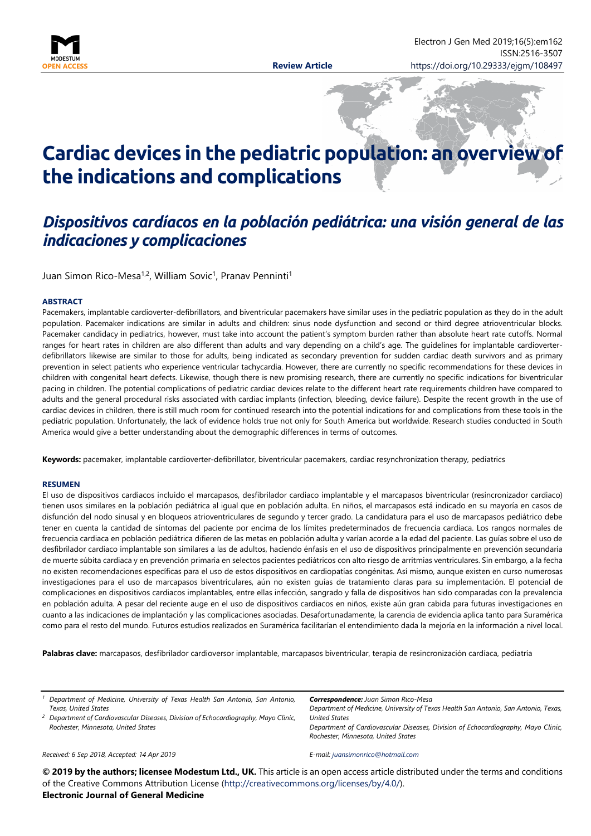

# **Cardiac devices in the pediatric population: an overview of the indications and complications**

# *Dispositivos cardíacos en la población pediátrica: una visión general de las indicaciones y complicaciones*

Juan Simon Rico-Mesa<sup>1,2</sup>, William Sovic<sup>1</sup>, Pranav Penninti<sup>1</sup>

#### **ABSTRACT**

Pacemakers, implantable cardioverter-defibrillators, and biventricular pacemakers have similar uses in the pediatric population as they do in the adult population. Pacemaker indications are similar in adults and children: sinus node dysfunction and second or third degree atrioventricular blocks. Pacemaker candidacy in pediatrics, however, must take into account the patient's symptom burden rather than absolute heart rate cutoffs. Normal ranges for heart rates in children are also different than adults and vary depending on a child's age. The guidelines for implantable cardioverterdefibrillators likewise are similar to those for adults, being indicated as secondary prevention for sudden cardiac death survivors and as primary prevention in select patients who experience ventricular tachycardia. However, there are currently no specific recommendations for these devices in children with congenital heart defects. Likewise, though there is new promising research, there are currently no specific indications for biventricular pacing in children. The potential complications of pediatric cardiac devices relate to the different heart rate requirements children have compared to adults and the general procedural risks associated with cardiac implants (infection, bleeding, device failure). Despite the recent growth in the use of cardiac devices in children, there is still much room for continued research into the potential indications for and complications from these tools in the pediatric population. Unfortunately, the lack of evidence holds true not only for South America but worldwide. Research studies conducted in South America would give a better understanding about the demographic differences in terms of outcomes.

**Keywords:** pacemaker, implantable cardioverter-defibrillator, biventricular pacemakers, cardiac resynchronization therapy, pediatrics

#### **RESUMEN**

El uso de dispositivos cardiacos incluido el marcapasos, desfibrilador cardiaco implantable y el marcapasos biventricular (resincronizador cardiaco) tienen usos similares en la población pediátrica al igual que en población adulta. En niños, el marcapasos está indicado en su mayoría en casos de disfunción del nodo sinusal y en bloqueos atrioventriculares de segundo y tercer grado. La candidatura para el uso de marcapasos pediátrico debe tener en cuenta la cantidad de síntomas del paciente por encima de los límites predeterminados de frecuencia cardiaca. Los rangos normales de frecuencia cardiaca en población pediátrica difieren de las metas en población adulta y varían acorde a la edad del paciente. Las guías sobre el uso de desfibrilador cardiaco implantable son similares a las de adultos, haciendo énfasis en el uso de dispositivos principalmente en prevención secundaria de muerte súbita cardiaca y en prevención primaria en selectos pacientes pediátricos con alto riesgo de arritmias ventriculares. Sin embargo, a la fecha no existen recomendaciones específicas para el uso de estos dispositivos en cardiopatías congénitas. Así mismo, aunque existen en curso numerosas investigaciones para el uso de marcapasos biventriculares, aún no existen guías de tratamiento claras para su implementación. El potencial de complicaciones en dispositivos cardiacos implantables, entre ellas infección, sangrado y falla de dispositivos han sido comparadas con la prevalencia en población adulta. A pesar del reciente auge en el uso de dispositivos cardiacos en niños, existe aún gran cabida para futuras investigaciones en cuanto a las indicaciones de implantación y las complicaciones asociadas. Desafortunadamente, la carencia de evidencia aplica tanto para Suramérica como para el resto del mundo. Futuros estudios realizados en Suramérica facilitarían el entendimiento dada la mejoría en la información a nivel local.

**Palabras clave:** marcapasos, desfibrilador cardioversor implantable, marcapasos biventricular, terapia de resincronización cardíaca, pediatría

*<sup>1</sup> Department of Medicine, University of Texas Health San Antonio, San Antonio, Texas, United States*

*<sup>2</sup> Department of Cardiovascular Diseases, Division of Echocardiography, Mayo Clinic, Rochester, Minnesota, United States*

*Correspondence: Juan Simon Rico-Mesa*

*Department of Medicine, University of Texas Health San Antonio, San Antonio, Texas, United States Department of Cardiovascular Diseases, Division of Echocardiography, Mayo Clinic,* 

*Rochester, Minnesota, United States*

#### *Received: 6 Sep 2018, Accepted: 14 Apr 2019*

*E-mail: [juansimonrico@hotmail.com](mailto:juansimonrico@hotmail.com)*

**© 2019 by the authors; licensee Modestum Ltd., UK.** This article is an open access article distributed under the terms and conditions of the Creative Commons Attribution License [\(http://creativecommons.org/licenses/by/4.0/\)](http://creativecommons.org/licenses/by/4.0/). **Electronic Journal of General Medicine**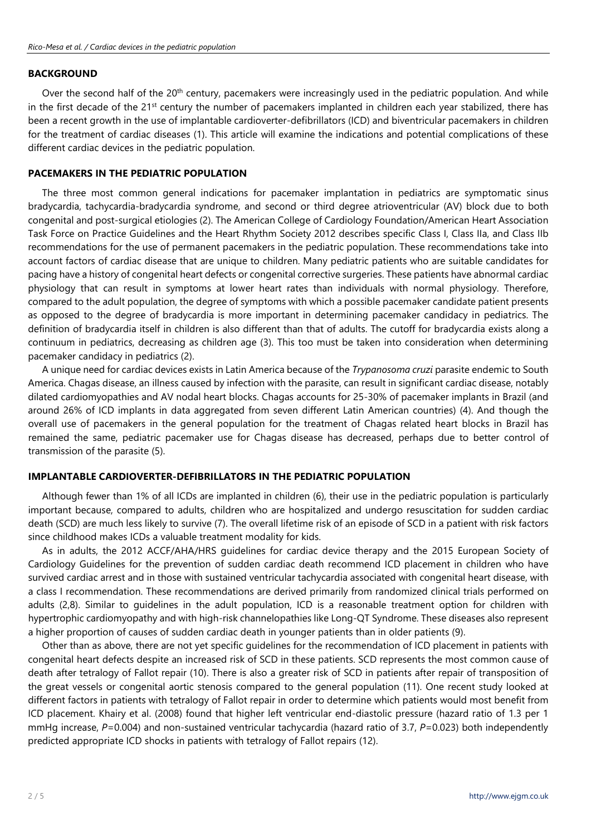#### **BACKGROUND**

Over the second half of the 20<sup>th</sup> century, pacemakers were increasingly used in the pediatric population. And while in the first decade of the 21<sup>st</sup> century the number of pacemakers implanted in children each year stabilized, there has been a recent growth in the use of implantable cardioverter-defibrillators (ICD) and biventricular pacemakers in children for the treatment of cardiac diseases (1). This article will examine the indications and potential complications of these different cardiac devices in the pediatric population.

#### **PACEMAKERS IN THE PEDIATRIC POPULATION**

The three most common general indications for pacemaker implantation in pediatrics are symptomatic sinus bradycardia, tachycardia-bradycardia syndrome, and second or third degree atrioventricular (AV) block due to both congenital and post-surgical etiologies (2). The American College of Cardiology Foundation/American Heart Association Task Force on Practice Guidelines and the Heart Rhythm Society 2012 describes specific Class I, Class IIa, and Class IIb recommendations for the use of permanent pacemakers in the pediatric population. These recommendations take into account factors of cardiac disease that are unique to children. Many pediatric patients who are suitable candidates for pacing have a history of congenital heart defects or congenital corrective surgeries. These patients have abnormal cardiac physiology that can result in symptoms at lower heart rates than individuals with normal physiology. Therefore, compared to the adult population, the degree of symptoms with which a possible pacemaker candidate patient presents as opposed to the degree of bradycardia is more important in determining pacemaker candidacy in pediatrics. The definition of bradycardia itself in children is also different than that of adults. The cutoff for bradycardia exists along a continuum in pediatrics, decreasing as children age (3). This too must be taken into consideration when determining pacemaker candidacy in pediatrics (2).

A unique need for cardiac devices exists in Latin America because of the *Trypanosoma cruzi* parasite endemic to South America. Chagas disease, an illness caused by infection with the parasite, can result in significant cardiac disease, notably dilated cardiomyopathies and AV nodal heart blocks. Chagas accounts for 25-30% of pacemaker implants in Brazil (and around 26% of ICD implants in data aggregated from seven different Latin American countries) (4). And though the overall use of pacemakers in the general population for the treatment of Chagas related heart blocks in Brazil has remained the same, pediatric pacemaker use for Chagas disease has decreased, perhaps due to better control of transmission of the parasite (5).

#### **IMPLANTABLE CARDIOVERTER-DEFIBRILLATORS IN THE PEDIATRIC POPULATION**

Although fewer than 1% of all ICDs are implanted in children (6), their use in the pediatric population is particularly important because, compared to adults, children who are hospitalized and undergo resuscitation for sudden cardiac death (SCD) are much less likely to survive (7). The overall lifetime risk of an episode of SCD in a patient with risk factors since childhood makes ICDs a valuable treatment modality for kids.

As in adults, the 2012 ACCF/AHA/HRS guidelines for cardiac device therapy and the 2015 European Society of Cardiology Guidelines for the prevention of sudden cardiac death recommend ICD placement in children who have survived cardiac arrest and in those with sustained ventricular tachycardia associated with congenital heart disease, with a class I recommendation. These recommendations are derived primarily from randomized clinical trials performed on adults (2,8). Similar to guidelines in the adult population, ICD is a reasonable treatment option for children with hypertrophic cardiomyopathy and with high-risk channelopathies like Long-QT Syndrome. These diseases also represent a higher proportion of causes of sudden cardiac death in younger patients than in older patients (9).

Other than as above, there are not yet specific guidelines for the recommendation of ICD placement in patients with congenital heart defects despite an increased risk of SCD in these patients. SCD represents the most common cause of death after tetralogy of Fallot repair (10). There is also a greater risk of SCD in patients after repair of transposition of the great vessels or congenital aortic stenosis compared to the general population (11). One recent study looked at different factors in patients with tetralogy of Fallot repair in order to determine which patients would most benefit from ICD placement. Khairy et al. (2008) found that higher left ventricular end-diastolic pressure (hazard ratio of 1.3 per 1 mmHg increase, *P*=0.004) and non-sustained ventricular tachycardia (hazard ratio of 3.7, *P*=0.023) both independently predicted appropriate ICD shocks in patients with tetralogy of Fallot repairs (12).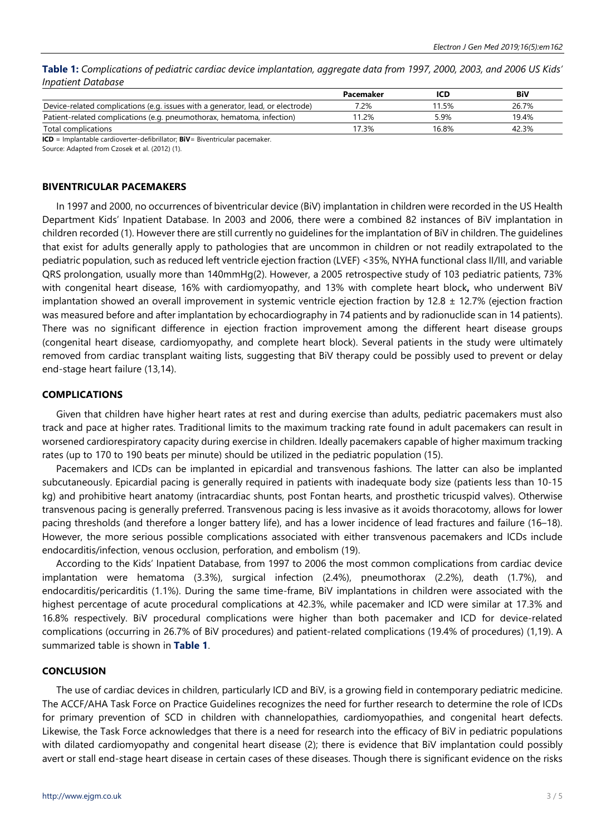Table 1: Complications of pediatric cardiac device implantation, aggregate data from 1997, 2000, 2003, and 2006 US Kids' *Inpatient Database*

|                                                                                 | Pacemaker |       | BiV   |
|---------------------------------------------------------------------------------|-----------|-------|-------|
| Device-related complications (e.g. issues with a generator, lead, or electrode) | 7.2%      | 11.5% | 26.7% |
| Patient-related complications (e.g. pneumothorax, hematoma, infection)          | 1.2%      | 5.9%  | 19.4% |
| Total complications                                                             | 17.3%     | 16.8% | 42.3% |

**ICD** = Implantable cardioverter-defibrillator; **BiV**= Biventricular pacemaker.

Source: Adapted from Czosek et al. (2012) (1).

#### **BIVENTRICULAR PACEMAKERS**

In 1997 and 2000, no occurrences of biventricular device (BiV) implantation in children were recorded in the US Health Department Kids' Inpatient Database. In 2003 and 2006, there were a combined 82 instances of BiV implantation in children recorded (1). However there are still currently no guidelines for the implantation of BiV in children. The guidelines that exist for adults generally apply to pathologies that are uncommon in children or not readily extrapolated to the pediatric population, such as reduced left ventricle ejection fraction (LVEF) <35%, NYHA functional class II/III, and variable QRS prolongation, usually more than 140mmHg(2). However, a 2005 retrospective study of 103 pediatric patients, 73% with congenital heart disease, 16% with cardiomyopathy, and 13% with complete heart block**,** who underwent BiV implantation showed an overall improvement in systemic ventricle ejection fraction by 12.8  $\pm$  12.7% (ejection fraction was measured before and after implantation by echocardiography in 74 patients and by radionuclide scan in 14 patients). There was no significant difference in ejection fraction improvement among the different heart disease groups (congenital heart disease, cardiomyopathy, and complete heart block). Several patients in the study were ultimately removed from cardiac transplant waiting lists, suggesting that BiV therapy could be possibly used to prevent or delay end-stage heart failure (13,14).

#### **COMPLICATIONS**

Given that children have higher heart rates at rest and during exercise than adults, pediatric pacemakers must also track and pace at higher rates. Traditional limits to the maximum tracking rate found in adult pacemakers can result in worsened cardiorespiratory capacity during exercise in children. Ideally pacemakers capable of higher maximum tracking rates (up to 170 to 190 beats per minute) should be utilized in the pediatric population (15).

Pacemakers and ICDs can be implanted in epicardial and transvenous fashions. The latter can also be implanted subcutaneously. Epicardial pacing is generally required in patients with inadequate body size (patients less than 10-15 kg) and prohibitive heart anatomy (intracardiac shunts, post Fontan hearts, and prosthetic tricuspid valves). Otherwise transvenous pacing is generally preferred. Transvenous pacing is less invasive as it avoids thoracotomy, allows for lower pacing thresholds (and therefore a longer battery life), and has a lower incidence of lead fractures and failure (16–18). However, the more serious possible complications associated with either transvenous pacemakers and ICDs include endocarditis/infection, venous occlusion, perforation, and embolism (19).

According to the Kids' Inpatient Database, from 1997 to 2006 the most common complications from cardiac device implantation were hematoma (3.3%), surgical infection (2.4%), pneumothorax (2.2%), death (1.7%), and endocarditis/pericarditis (1.1%). During the same time-frame, BiV implantations in children were associated with the highest percentage of acute procedural complications at 42.3%, while pacemaker and ICD were similar at 17.3% and 16.8% respectively. BiV procedural complications were higher than both pacemaker and ICD for device-related complications (occurring in 26.7% of BiV procedures) and patient-related complications (19.4% of procedures) (1,19). A summarized table is shown in **Table 1**.

#### **CONCLUSION**

The use of cardiac devices in children, particularly ICD and BiV, is a growing field in contemporary pediatric medicine. The ACCF/AHA Task Force on Practice Guidelines recognizes the need for further research to determine the role of ICDs for primary prevention of SCD in children with channelopathies, cardiomyopathies, and congenital heart defects. Likewise, the Task Force acknowledges that there is a need for research into the efficacy of BiV in pediatric populations with dilated cardiomyopathy and congenital heart disease (2); there is evidence that BiV implantation could possibly avert or stall end-stage heart disease in certain cases of these diseases. Though there is significant evidence on the risks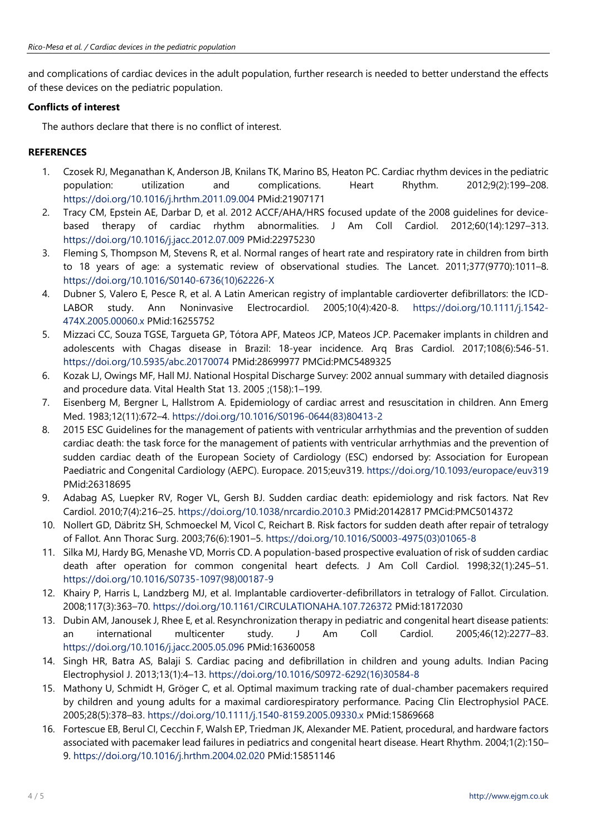and complications of cardiac devices in the adult population, further research is needed to better understand the effects of these devices on the pediatric population.

### **Conflicts of interest**

The authors declare that there is no conflict of interest.

## **REFERENCES**

- 1. Czosek RJ, Meganathan K, Anderson JB, Knilans TK, Marino BS, Heaton PC. Cardiac rhythm devices in the pediatric population: utilization and complications. Heart Rhythm. 2012;9(2):199–208. <https://doi.org/10.1016/j.hrthm.2011.09.004> PMid:21907171
- 2. Tracy CM, Epstein AE, Darbar D, et al. 2012 ACCF/AHA/HRS focused update of the 2008 guidelines for devicebased therapy of cardiac rhythm abnormalities. J Am Coll Cardiol. 2012;60(14):1297–313. <https://doi.org/10.1016/j.jacc.2012.07.009> PMid:22975230
- 3. Fleming S, Thompson M, Stevens R, et al. Normal ranges of heart rate and respiratory rate in children from birth to 18 years of age: a systematic review of observational studies. The Lancet. 2011;377(9770):1011–8. [https://doi.org/10.1016/S0140-6736\(10\)62226-X](https://doi.org/10.1016/S0140-6736(10)62226-X)
- 4. Dubner S, Valero E, Pesce R, et al. A Latin American registry of implantable cardioverter defibrillators: the ICDLABOR study. Ann Noninvasive Electrocardiol. 2005;10(4):420-8. [https://doi.org/10.1111/j.1542-](https://doi.org/10.1111/j.1542-474X.2005.00060.x) [474X.2005.00060.x](https://doi.org/10.1111/j.1542-474X.2005.00060.x) PMid:16255752
- 5. Mizzaci CC, Souza TGSE, Targueta GP, Tótora APF, Mateos JCP, Mateos JCP. Pacemaker implants in children and adolescents with Chagas disease in Brazil: 18-year incidence. Arq Bras Cardiol. 2017;108(6):546-51. <https://doi.org/10.5935/abc.20170074> PMid:28699977 PMCid:PMC5489325
- 6. Kozak LJ, Owings MF, Hall MJ. National Hospital Discharge Survey: 2002 annual summary with detailed diagnosis and procedure data. Vital Health Stat 13. 2005 ;(158):1–199.
- 7. Eisenberg M, Bergner L, Hallstrom A. Epidemiology of cardiac arrest and resuscitation in children. Ann Emerg Med. 1983;12(11):672–4. [https://doi.org/10.1016/S0196-0644\(83\)80413-2](https://doi.org/10.1016/S0196-0644(83)80413-2)
- 8. 2015 ESC Guidelines for the management of patients with ventricular arrhythmias and the prevention of sudden cardiac death: the task force for the management of patients with ventricular arrhythmias and the prevention of sudden cardiac death of the European Society of Cardiology (ESC) endorsed by: Association for European Paediatric and Congenital Cardiology (AEPC). Europace. 2015;euv319. <https://doi.org/10.1093/europace/euv319> PMid:26318695
- 9. Adabag AS, Luepker RV, Roger VL, Gersh BJ. Sudden cardiac death: epidemiology and risk factors. Nat Rev Cardiol. 2010;7(4):216–25. <https://doi.org/10.1038/nrcardio.2010.3> PMid:20142817 PMCid:PMC5014372
- 10. Nollert GD, Däbritz SH, Schmoeckel M, Vicol C, Reichart B. Risk factors for sudden death after repair of tetralogy of Fallot. Ann Thorac Surg. 2003;76(6):1901–5. [https://doi.org/10.1016/S0003-4975\(03\)01065-8](https://doi.org/10.1016/S0003-4975(03)01065-8)
- 11. Silka MJ, Hardy BG, Menashe VD, Morris CD. A population-based prospective evaluation of risk of sudden cardiac death after operation for common congenital heart defects. J Am Coll Cardiol. 1998;32(1):245–51. [https://doi.org/10.1016/S0735-1097\(98\)00187-9](https://doi.org/10.1016/S0735-1097(98)00187-9)
- 12. Khairy P, Harris L, Landzberg MJ, et al. Implantable cardioverter-defibrillators in tetralogy of Fallot. Circulation. 2008;117(3):363–70. <https://doi.org/10.1161/CIRCULATIONAHA.107.726372> PMid:18172030
- 13. Dubin AM, Janousek J, Rhee E, et al. Resynchronization therapy in pediatric and congenital heart disease patients: an international multicenter study. J Am Coll Cardiol. 2005;46(12):2277–83. <https://doi.org/10.1016/j.jacc.2005.05.096> PMid:16360058
- 14. Singh HR, Batra AS, Balaji S. Cardiac pacing and defibrillation in children and young adults. Indian Pacing Electrophysiol J. 2013;13(1):4–13. [https://doi.org/10.1016/S0972-6292\(16\)30584-8](https://doi.org/10.1016/S0972-6292(16)30584-8)
- 15. Mathony U, Schmidt H, Gröger C, et al. Optimal maximum tracking rate of dual-chamber pacemakers required by children and young adults for a maximal cardiorespiratory performance. Pacing Clin Electrophysiol PACE. 2005;28(5):378–83. <https://doi.org/10.1111/j.1540-8159.2005.09330.x> PMid:15869668
- 16. Fortescue EB, Berul CI, Cecchin F, Walsh EP, Triedman JK, Alexander ME. Patient, procedural, and hardware factors associated with pacemaker lead failures in pediatrics and congenital heart disease. Heart Rhythm. 2004;1(2):150– 9. <https://doi.org/10.1016/j.hrthm.2004.02.020> PMid:15851146